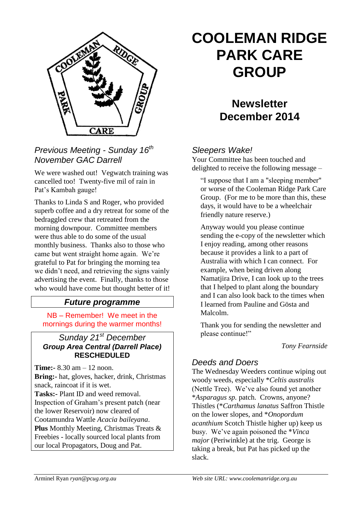

# *Previous Meeting - Sunday 16th November GAC Darrell*

We were washed out! Vegwatch training was cancelled too! Twenty-five mil of rain in Pat's Kambah gauge!

Thanks to Linda S and Roger, who provided superb coffee and a dry retreat for some of the bedraggled crew that retreated from the morning downpour. Committee members were thus able to do some of the usual monthly business. Thanks also to those who came but went straight home again. We're grateful to Pat for bringing the morning tea we didn't need, and retrieving the signs vainly advertising the event. Finally, thanks to those who would have come but thought better of it!

# *Future programme*

NB – Remember! We meet in the mornings during the warmer months!

### *Sunday 21st December Group Area Central (Darrell Place)*  **RESCHEDULED**

**Time:-** 8.30 am – 12 noon. **Bring:-** hat, gloves, hacker, drink, Christmas snack, raincoat if it is wet. **Tasks:-** Plant ID and weed removal. Inspection of Graham's present patch (near the lower Reservoir) now cleared of Cootamundra Wattle *Acacia baileyana*. **Plus** Monthly Meeting, Christmas Treats & Freebies - locally sourced local plants from our local Propagators, Doug and Pat.

# **COOLEMAN RIDGE PARK CARE GROUP**

# **Newsletter December 2014**

# *Sleepers Wake!*

Your Committee has been touched and delighted to receive the following message –

"I suppose that I am a "sleeping member" or worse of the Cooleman Ridge Park Care Group. (For me to be more than this, these days, it would have to be a wheelchair friendly nature reserve.)

Anyway would you please continue sending the e-copy of the newsletter which I enjoy reading, among other reasons because it provides a link to a part of Australia with which I can connect. For example, when being driven along Namatjira Drive, I can look up to the trees that I helped to plant along the boundary and I can also look back to the times when I learned from Pauline and Gösta and Malcolm.

Thank you for sending the newsletter and please continue!"

#### *Tony Fearnside*

#### *Deeds and Doers*

The Wednesday Weeders continue wiping out woody weeds, especially \**Celtis australis* (Nettle Tree). We've also found yet another \**Asparagus sp.* patch. Crowns, anyone? Thistles (\**Carthamus lanatus* Saffron Thistle on the lower slopes, and \**Onopordum acanthium* Scotch Thistle higher up) keep us busy. We've again poisoned the \**Vinca major* (Periwinkle) at the trig. George is taking a break, but Pat has picked up the slack.